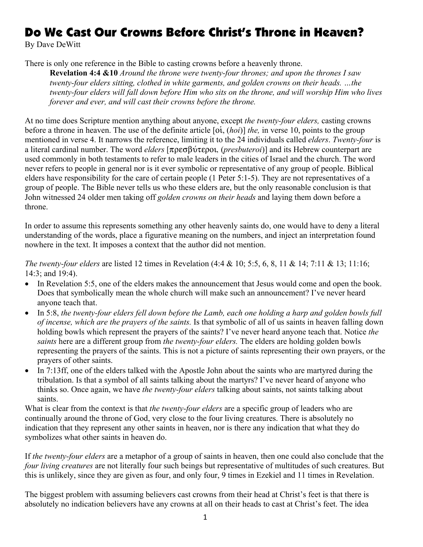## Do We Cast Our Crowns Before Christ's Throne in Heaven?

By Dave DeWitt

There is only one reference in the Bible to casting crowns before a heavenly throne.

**Revelation 4:4 &10** *Around the throne were twenty-four thrones; and upon the thrones I saw twenty-four elders sitting, clothed in white garments, and golden crowns on their heads. …the twenty-four elders will fall down before Him who sits on the throne, and will worship Him who lives forever and ever, and will cast their crowns before the throne.*

At no time does Scripture mention anything about anyone, except *the twenty-four elders,* casting crowns before a throne in heaven. The use of the definite article [oi, *(hoi)*] *the*, in verse 10, points to the group mentioned in verse 4. It narrows the reference, limiting it to the 24 individuals called *elders*. *Twenty-four* is a literal cardinal number. The word *elders* [πρεσβύτεροι, *(presbuteroi*)] and its Hebrew counterpart are used commonly in both testaments to refer to male leaders in the cities of Israel and the church. The word never refers to people in general nor is it ever symbolic or representative of any group of people. Biblical elders have responsibility for the care of certain people (1 Peter 5:1-5). They are not representatives of a group of people. The Bible never tells us who these elders are, but the only reasonable conclusion is that John witnessed 24 older men taking off *golden crowns on their heads* and laying them down before a throne.

In order to assume this represents something any other heavenly saints do, one would have to deny a literal understanding of the words, place a figurative meaning on the numbers, and inject an interpretation found nowhere in the text. It imposes a context that the author did not mention.

*The twenty-four elders* are listed 12 times in Revelation (4:4 & 10; 5:5, 6, 8, 11 & 14; 7:11 & 13; 11:16; 14:3; and 19:4).

- In Revelation 5:5, one of the elders makes the announcement that Jesus would come and open the book. Does that symbolically mean the whole church will make such an announcement? I've never heard anyone teach that.
- In 5:8, *the twenty-four elders fell down before the Lamb, each one holding a harp and golden bowls full of incense, which are the prayers of the saints.* Is that symbolic of all of us saints in heaven falling down holding bowls which represent the prayers of the saints? I've never heard anyone teach that. Notice *the saints* here are a different group from *the twenty-four elders.* The elders are holding golden bowls representing the prayers of the saints. This is not a picture of saints representing their own prayers, or the prayers of other saints.
- In 7:13ff, one of the elders talked with the Apostle John about the saints who are martyred during the tribulation. Is that a symbol of all saints talking about the martyrs? I've never heard of anyone who thinks so. Once again, we have *the twenty-four elders* talking about saints, not saints talking about saints.

What is clear from the context is that *the twenty-four elders* are a specific group of leaders who are continually around the throne of God, very close to the four living creatures. There is absolutely no indication that they represent any other saints in heaven, nor is there any indication that what they do symbolizes what other saints in heaven do.

If *the twenty-four elders* are a metaphor of a group of saints in heaven, then one could also conclude that the *four living creatures* are not literally four such beings but representative of multitudes of such creatures. But this is unlikely, since they are given as four, and only four, 9 times in Ezekiel and 11 times in Revelation.

The biggest problem with assuming believers cast crowns from their head at Christ's feet is that there is absolutely no indication believers have any crowns at all on their heads to cast at Christ's feet. The idea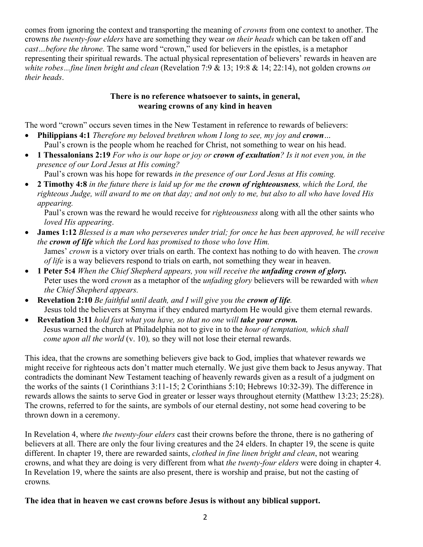comes from ignoring the context and transporting the meaning of *crowns* from one context to another. The crowns *the twenty-four elders* have are something they wear *on their heads* which can be taken off and *cast…before the throne.* The same word "crown," used for believers in the epistles, is a metaphor representing their spiritual rewards. The actual physical representation of believers' rewards in heaven are *white robes…fine linen bright and clean* (Revelation 7:9 & 13; 19:8 & 14; 22:14), not golden crowns *on their heads*.

## **There is no reference whatsoever to saints, in general, wearing crowns of any kind in heaven**

The word "crown" occurs seven times in the New Testament in reference to rewards of believers:

- **Philippians 4:1** *Therefore my beloved brethren whom I long to see, my joy and crown…* Paul's crown is the people whom he reached for Christ, not something to wear on his head.
- **1 Thessalonians 2:19** *For who is our hope or joy or crown of exultation? Is it not even you, in the presence of our Lord Jesus at His coming?*
- Paul's crown was his hope for rewards *in the presence of our Lord Jesus at His coming.* • **2 Timothy 4:8** *in the future there is laid up for me the crown of righteousness, which the Lord, the righteous Judge, will award to me on that day; and not only to me, but also to all who have loved His appearing.*

Paul's crown was the reward he would receive for *righteousness* along with all the other saints who *loved His appearing*.

- **James 1:12** *Blessed is a man who perseveres under trial; for once he has been approved, he will receive the crown of life which the Lord has promised to those who love Him.*  James' *crown* is a victory over trials on earth. The context has nothing to do with heaven. The *crown of life* is a way believers respond to trials on earth, not something they wear in heaven.
- **1 Peter 5:4** *When the Chief Shepherd appears, you will receive the unfading crown of glory.*  Peter uses the word *crown* as a metaphor of the *unfading glory* believers will be rewarded with *when the Chief Shepherd appears.*
- **Revelation 2:10** *Be faithful until death, and I will give you the crown of life.* Jesus told the believers at Smyrna if they endured martyrdom He would give them eternal rewards.
- **Revelation 3:11** *hold fast what you have, so that no one will take your crown.* Jesus warned the church at Philadelphia not to give in to the *hour of temptation, which shall come upon all the world* (v. 10)*,* so they will not lose their eternal rewards.

This idea, that the crowns are something believers give back to God, implies that whatever rewards we might receive for righteous acts don't matter much eternally. We just give them back to Jesus anyway. That contradicts the dominant New Testament teaching of heavenly rewards given as a result of a judgment on the works of the saints (1 Corinthians 3:11-15; 2 Corinthians 5:10; Hebrews 10:32-39). The difference in rewards allows the saints to serve God in greater or lesser ways throughout eternity (Matthew 13:23; 25:28). The crowns, referred to for the saints, are symbols of our eternal destiny, not some head covering to be thrown down in a ceremony.

In Revelation 4, where *the twenty-four elders* cast their crowns before the throne, there is no gathering of believers at all. There are only the four living creatures and the 24 elders. In chapter 19, the scene is quite different. In chapter 19, there are rewarded saints, *clothed in fine linen bright and clean*, not wearing crowns, and what they are doing is very different from what *the twenty-four elders* were doing in chapter 4. In Revelation 19, where the saints are also present, there is worship and praise, but not the casting of crowns*.* 

## **The idea that in heaven we cast crowns before Jesus is without any biblical support.**